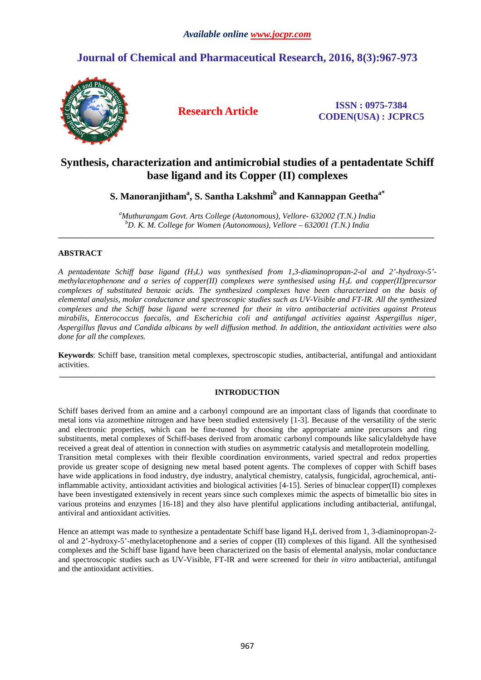# **Journal of Chemical and Pharmaceutical Research, 2016, 8(3):967-973**



**Research Article ISSN : 0975-7384 CODEN(USA) : JCPRC5**

# **Synthesis, characterization and antimicrobial studies of a pentadentate Schiff base ligand and its Copper (II) complexes**

## **S. Manoranjitham<sup>a</sup> , S. Santha Lakshmi<sup>b</sup> and Kannappan Geethaa\***

*<sup>a</sup>Muthurangam Govt. Arts College (Autonomous), Vellore- 632002 (T.N.) India <sup>b</sup>D. K. M. College for Women (Autonomous), Vellore – 632001 (T.N.) India*  **\_\_\_\_\_\_\_\_\_\_\_\_\_\_\_\_\_\_\_\_\_\_\_\_\_\_\_\_\_\_\_\_\_\_\_\_\_\_\_\_\_\_\_\_\_\_\_\_\_\_\_\_\_\_\_\_\_\_\_\_\_\_\_\_\_\_\_\_\_\_\_\_\_\_\_\_\_\_\_\_\_\_\_\_\_\_\_\_\_\_\_\_\_** 

## **ABSTRACT**

*A pentadentate Schiff base ligand (H3L) was synthesised from 1,3-diaminopropan-2-ol and 2'-hydroxy-5' methylacetophenone and a series of copper(II) complexes were synthesised using H3L and copper(II)precursor complexes of substituted benzoic acids. The synthesized complexes have been characterized on the basis of elemental analysis, molar conductance and spectroscopic studies such as UV-Visible and FT-IR. All the synthesized complexes and the Schiff base ligand were screened for their in vitro antibacterial activities against Proteus mirabilis, Enterococcus faecalis, and Escherichia coli and antifungal activities against Aspergillus niger, Aspergillus flavus and Candida albicans by well diffusion method. In addition, the antioxidant activities were also done for all the complexes.* 

**Keywords**: Schiff base, transition metal complexes, spectroscopic studies, antibacterial, antifungal and antioxidant activities. **\_\_\_\_\_\_\_\_\_\_\_\_\_\_\_\_\_\_\_\_\_\_\_\_\_\_\_\_\_\_\_\_\_\_\_\_\_\_\_\_\_\_\_\_\_\_\_\_\_\_\_\_\_\_\_\_\_\_\_\_\_\_\_\_\_\_\_\_\_\_\_\_\_\_\_\_\_\_\_\_\_\_\_\_\_\_\_\_\_\_\_\_\_** 

## **INTRODUCTION**

Schiff bases derived from an amine and a carbonyl compound are an important class of ligands that coordinate to metal ions via azomethine nitrogen and have been studied extensively [1-3]. Because of the versatility of the steric and electronic properties, which can be fine-tuned by choosing the appropriate amine precursors and ring substituents, metal complexes of Schiff-bases derived from aromatic carbonyl compounds like salicylaldehyde have received a great deal of attention in connection with studies on asymmetric catalysis and metalloprotein modelling. Transition metal complexes with their flexible coordination environments, varied spectral and redox properties provide us greater scope of designing new metal based potent agents. The complexes of copper with Schiff bases have wide applications in food industry, dye industry, analytical chemistry, catalysis, fungicidal, agrochemical, antiinflammable activity, antioxidant activities and biological activities [4-15]. Series of binuclear copper(II) complexes have been investigated extensively in recent years since such complexes mimic the aspects of bimetallic bio sites in various proteins and enzymes [16-18] and they also have plentiful applications including antibacterial, antifungal, antiviral and antioxidant activities.

Hence an attempt was made to synthesize a pentadentate Schiff base ligand H<sub>3</sub>L derived from 1, 3-diaminopropan-2ol and 2'-hydroxy-5'-methylacetophenone and a series of copper (II) complexes of this ligand. All the synthesised complexes and the Schiff base ligand have been characterized on the basis of elemental analysis, molar conductance and spectroscopic studies such as UV-Visible, FT-IR and were screened for their *in vitro* antibacterial, antifungal and the antioxidant activities.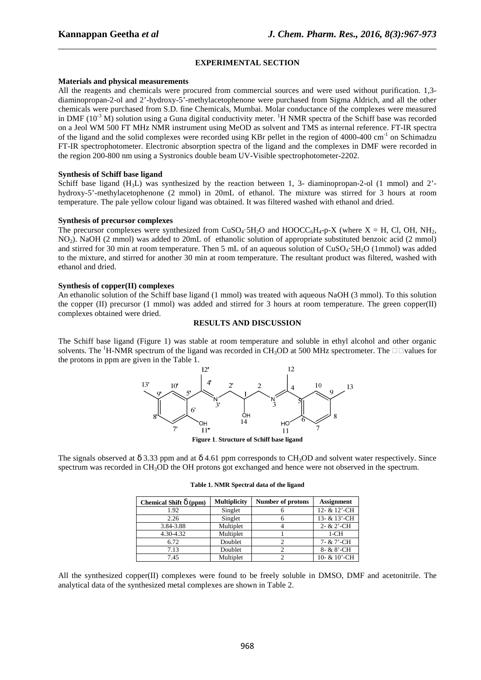## **EXPERIMENTAL SECTION**

\_\_\_\_\_\_\_\_\_\_\_\_\_\_\_\_\_\_\_\_\_\_\_\_\_\_\_\_\_\_\_\_\_\_\_\_\_\_\_\_\_\_\_\_\_\_\_\_\_\_\_\_\_\_\_\_\_\_\_\_\_\_\_\_\_\_\_\_\_\_\_\_\_\_\_\_\_\_

#### **Materials and physical measurements**

All the reagents and chemicals were procured from commercial sources and were used without purification. 1,3 diaminopropan-2-ol and 2'-hydroxy-5'-methylacetophenone were purchased from Sigma Aldrich, and all the other chemicals were purchased from S.D. fine Chemicals, Mumbai. Molar conductance of the complexes were measured in DMF ( $10^{-3}$  M) solution using a Guna digital conductivity meter. <sup>1</sup>H NMR spectra of the Schiff base was recorded on a Jeol WM 500 FT MHz NMR instrument using MeOD as solvent and TMS as internal reference. FT-IR spectra of the ligand and the solid complexes were recorded using KBr pellet in the region of 4000-400 cm<sup>-1</sup> on Schimadzu FT-IR spectrophotometer. Electronic absorption spectra of the ligand and the complexes in DMF were recorded in the region 200-800 nm using a Systronics double beam UV-Visible spectrophotometer-2202.

#### **Synthesis of Schiff base ligand**

Schiff base ligand  $(H<sub>3</sub>L)$  was synthesized by the reaction between 1, 3- diaminopropan-2-ol (1 mmol) and 2'hydroxy-5'-methylacetophenone (2 mmol) in 20mL of ethanol. The mixture was stirred for 3 hours at room temperature. The pale yellow colour ligand was obtained. It was filtered washed with ethanol and dried.

## **Synthesis of precursor complexes**

The precursor complexes were synthesized from CuSO<sub>4</sub>·5H<sub>2</sub>O and HOOCC<sub>6</sub>H<sub>4</sub>-p-X (where X = H, Cl, OH, NH<sub>2</sub>, NO2). NaOH (2 mmol) was added to 20mL of ethanolic solution of appropriate substituted benzoic acid (2 mmol) and stirred for 30 min at room temperature. Then 5 mL of an aqueous solution of CuSO<sub>4</sub>·5H<sub>2</sub>O (1mmol) was added to the mixture, and stirred for another 30 min at room temperature. The resultant product was filtered, washed with ethanol and dried.

### **Synthesis of copper(II) complexes**

An ethanolic solution of the Schiff base ligand (1 mmol) was treated with aqueous NaOH (3 mmol). To this solution the copper (II) precursor (1 mmol) was added and stirred for 3 hours at room temperature. The green copper(II) complexes obtained were dried.

## **RESULTS AND DISCUSSION**

The Schiff base ligand (Figure 1) was stable at room temperature and soluble in ethyl alcohol and other organic solvents. The <sup>1</sup>H-NMR spectrum of the ligand was recorded in CH<sub>3</sub>OD at 500 MHz spectrometer. The  $\Box$  values for the protons in ppm are given in the Table 1.



**Figure 1**. **Structure of Schiff base ligand**

The signals observed at  $\delta$  3.33 ppm and at  $\delta$  4.61 ppm corresponds to CH<sub>3</sub>OD and solvent water respectively. Since spectrum was recorded in CH<sub>3</sub>OD the OH protons got exchanged and hence were not observed in the spectrum.

| Chemical Shift $\delta$ (ppm) | <b>Multiplicity</b> | Number of protons | <b>Assignment</b>     |
|-------------------------------|---------------------|-------------------|-----------------------|
| 1.92                          | Singlet             | n                 | 12- & 12'-CH          |
| 2.26                          | Singlet             |                   | 13- & 13'-CH          |
| 3.84-3.88                     | Multiplet           |                   | $2 - & 2 - \text{CH}$ |
| 4.30-4.32                     | Multiplet           |                   | $1-CH$                |
| 6.72                          | Doublet             |                   | 7- & 7'-CH            |
| 7.13                          | Doublet             |                   | 8- & 8'-CH            |
| 7.45                          | Multiplet           |                   | 10- & 10'-CH          |

**Table 1. NMR Spectral data of the ligand** 

All the synthesized copper(II) complexes were found to be freely soluble in DMSO, DMF and acetonitrile. The analytical data of the synthesized metal complexes are shown in Table 2.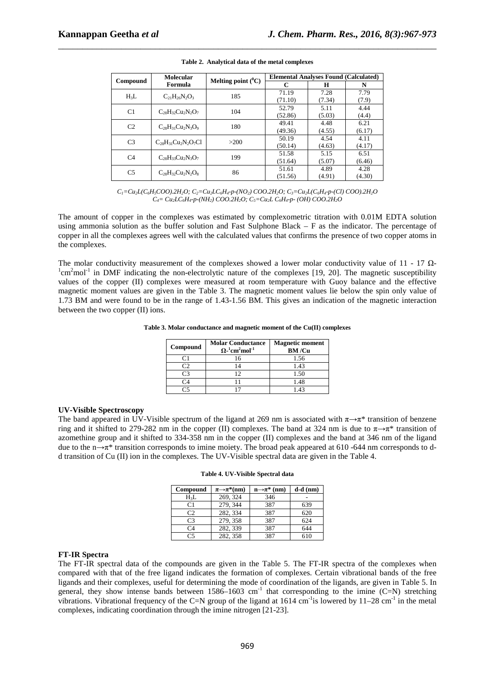|                | <b>Molecular</b>               | Melting point $(^{0}C)$ | <b>Elemental Analyses Found (Calculated)</b> |        |        |
|----------------|--------------------------------|-------------------------|----------------------------------------------|--------|--------|
| Compound       | Formula                        |                         | C                                            | H      | N      |
| $H_3L$         | $C_{21}H_{26}N_{2}O_{3}$       | 185                     | 71.19                                        | 7.28   | 7.79   |
|                |                                |                         | (71.10)                                      | (7.34) | (7.9)  |
| C1             | $C_{28}H_{32}Cu_2N_2O_7$       | 104                     | 52.79                                        | 5.11   | 4.44   |
|                |                                |                         | (52.86)                                      | (5.03) | (4.4)  |
| C <sub>2</sub> | $C_{28}H_{31}Cu_2N_3O_9$       | 180                     | 49.41                                        | 4.48   | 6.21   |
|                |                                |                         | (49.36)                                      | (4.55) | (6.17) |
| C <sub>3</sub> | $C_{28}H_{31}Cu_2N_2O_7Cl$     | >200                    | 50.19                                        | 4.54   | 4.11   |
|                |                                |                         | (50.14)                                      | (4.63) | (4.17) |
| C <sub>4</sub> | $C_{28}H_{33}Cu_2N_3O_7$       | 199                     | 51.58                                        | 5.15   | 6.51   |
|                |                                |                         | (51.64)                                      | (5.07) | (6.46) |
| C <sub>5</sub> | $C_{28}H_{32}Cu_{2}N_{2}O_{8}$ | 86                      | 51.61                                        | 4.89   | 4.28   |
|                |                                |                         | (51.56)                                      | (4.91) | (4.30) |

| Table 2. Analytical data of the metal complexes |
|-------------------------------------------------|

 $C_1 = Cu_2L(C_6H_5COO).2H_2O; C_2 = Cu_2L C_6H_4-p-(NO_2) COO.2H_2O; C_3 = Cu_2L(C_6H_4-p-(Cl) COO).2H_2O$ *C4= Cu2LC6H4-p-(NH2) COO.2H2O; C5=Cu2L C6H4-p- (OH) COO.2H2O* 

The amount of copper in the complexes was estimated by complexometric titration with 0.01M EDTA solution using ammonia solution as the buffer solution and Fast Sulphone Black – F as the indicator. The percentage of copper in all the complexes agrees well with the calculated values that confirms the presence of two copper atoms in the complexes.

The molar conductivity measurement of the complexes showed a lower molar conductivity value of 11 - 17  $\Omega$ - $1$ cm<sup>2</sup>mol<sup>-1</sup> in DMF indicating the non-electrolytic nature of the complexes [19, 20]. The magnetic susceptibility values of the copper (II) complexes were measured at room temperature with Guoy balance and the effective magnetic moment values are given in the Table 3. The magnetic moment values lie below the spin only value of 1.73 BM and were found to be in the range of 1.43-1.56 BM. This gives an indication of the magnetic interaction between the two copper (II) ions.

#### **Table 3. Molar conductance and magnetic moment of the Cu(II) complexes**

| Compound | <b>Molar Conductance</b><br>$\Omega$ - <sup>1</sup> cm <sup>2</sup> mol <sup>-1</sup> | <b>Magnetic moment</b><br>BM/Cu |
|----------|---------------------------------------------------------------------------------------|---------------------------------|
|          |                                                                                       | 1.56                            |
|          |                                                                                       | 1.43                            |
|          |                                                                                       | 1.50                            |
|          |                                                                                       | 1.48                            |
|          |                                                                                       | 1 43                            |

## **UV-Visible Spectroscopy**

The band appeared in UV-Visible spectrum of the ligand at 269 nm is associated with  $\pi \rightarrow \pi^*$  transition of benzene ring and it shifted to 279-282 nm in the copper (II) complexes. The band at 324 nm is due to  $\pi \rightarrow \pi^*$  transition of azomethine group and it shifted to 334-358 nm in the copper (II) complexes and the band at 346 nm of the ligand due to the n→π\* transition corresponds to imine moiety. The broad peak appeared at 610 -644 nm corresponds to dd transition of Cu (II) ion in the complexes. The UV-Visible spectral data are given in the Table 4.

|  |  |  | Table 4. UV-Visible Spectral data |  |
|--|--|--|-----------------------------------|--|
|--|--|--|-----------------------------------|--|

| Compound       | $\pi \rightarrow \pi^*(nm)$ | $n\rightarrow \pi^*$ (nm) | $d-d$ (nm) |
|----------------|-----------------------------|---------------------------|------------|
| $H_3L$         | 269, 324                    | 346                       |            |
| C <sub>1</sub> | 279.344                     | 387                       | 639        |
| C <sub>2</sub> | 282, 334                    | 387                       | 620        |
| C <sub>3</sub> | 279.358                     | 387                       | 624        |
| C <sub>4</sub> | 282, 339                    | 387                       | 644        |
| C <sub>5</sub> | 282, 358                    | 387                       | 610        |

## **FT-IR Spectra**

The FT-IR spectral data of the compounds are given in the Table 5. The FT-IR spectra of the complexes when compared with that of the free ligand indicates the formation of complexes. Certain vibrational bands of the free ligands and their complexes, useful for determining the mode of coordination of the ligands, are given in Table 5. In general, they show intense bands between  $1586-1603$  cm<sup>-1</sup> that corresponding to the imine (C=N) stretching vibrations. Vibrational frequency of the C=N group of the ligand at  $1614 \text{ cm}^{-1}$  is lowered by  $11-28 \text{ cm}^{-1}$  in the metal complexes, indicating coordination through the imine nitrogen [21-23].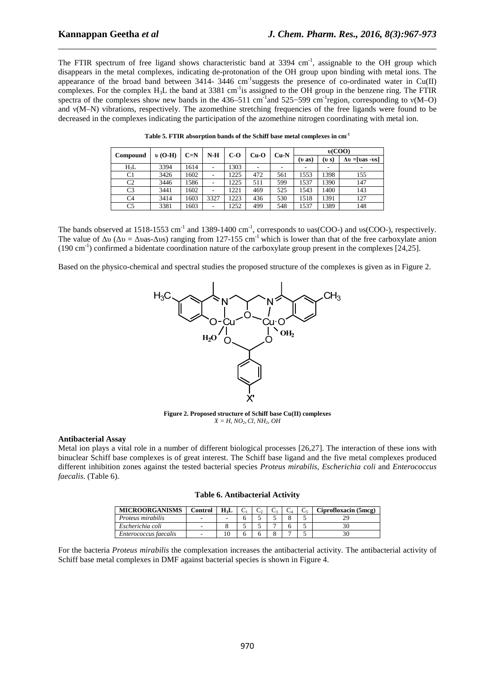The FTIR spectrum of free ligand shows characteristic band at  $3394 \text{ cm}^{-1}$ , assignable to the OH group which disappears in the metal complexes, indicating de-protonation of the OH group upon binding with metal ions. The appearance of the broad band between  $3414 - 3446$  cm<sup>-1</sup>suggests the presence of co-ordinated water in Cu(II) complexes. For the complex  $H_3L$  the band at 3381 cm<sup>-1</sup>is assigned to the OH group in the benzene ring. The FTIR spectra of the complexes show new bands in the 436–511 cm<sup>-1</sup>and 525–599 cm<sup>-1</sup>region, corresponding to  $v(M-O)$ and ν(M–N) vibrations, respectively. The azomethine stretching frequencies of the free ligands were found to be decreased in the complexes indicating the participation of the azomethine nitrogen coordinating with metal ion.

\_\_\_\_\_\_\_\_\_\_\_\_\_\_\_\_\_\_\_\_\_\_\_\_\_\_\_\_\_\_\_\_\_\_\_\_\_\_\_\_\_\_\_\_\_\_\_\_\_\_\_\_\_\_\_\_\_\_\_\_\_\_\_\_\_\_\_\_\_\_\_\_\_\_\_\_\_\_

| <b>Compound</b> | $\upsilon$ (O-H) | $C=N$ | $N-H$                    | $C-O$ |     |       | $Cu-N$<br>$Cu-O$ |      | v(COO)                 |  |
|-----------------|------------------|-------|--------------------------|-------|-----|-------|------------------|------|------------------------|--|
|                 |                  |       |                          |       |     | (v s) |                  |      | $\Delta v =$ [vas -vs] |  |
| $H_3L$          | 3394             | 1614  | $\overline{\phantom{a}}$ | 303   | ۰   | ۰     |                  | -    | ۰                      |  |
| C <sub>1</sub>  | 3426             | 1602  |                          | 1225  | 472 | 561   | 1553             | 1398 | 155                    |  |
| C2              | 3446             | 1586  |                          | 1225  | 511 | 599   | 1537             | 1390 | 147                    |  |
| C3              | 3441             | 1602  |                          | 221   | 469 | 525   | 1543             | 1400 | 143                    |  |
| C <sub>4</sub>  | 3414             | 1603  | 3327                     | 223   | 436 | 530   | 1518             | 1391 | 127                    |  |
| C <sub>5</sub>  | 3381             | 1603  |                          | 1252  | 499 | 548   | 1537             | 1389 | 148                    |  |

**Table 5. FTIR absorption bands of the Schiff base metal complexes in cm-1**

The bands observed at 1518-1553 cm<sup>-1</sup> and 1389-1400 cm<sup>-1</sup>, corresponds to vas(COO-) and vs(COO-), respectively. The value of  $\Delta v$  ( $\Delta v = \Delta v$ as- $\Delta v$ s) ranging from 127-155 cm<sup>-1</sup> which is lower than that of the free carboxylate anion (190 cm-1) confirmed a bidentate coordination nature of the carboxylate group present in the complexes [24,25].

Based on the physico-chemical and spectral studies the proposed structure of the complexes is given as in Figure 2.



**Figure 2. Proposed structure of Schiff base Cu(II) complexes**   $X = H$ *, NO*<sub>2</sub>*, Cl, NH*<sub>2</sub>*, OH* 

## **Antibacterial Assay**

Metal ion plays a vital role in a number of different biological processes [26,27]. The interaction of these ions with binuclear Schiff base complexes is of great interest. The Schiff base ligand and the five metal complexes produced different inhibition zones against the tested bacterial species *Proteus mirabilis, Escherichia coli* and *Enterococcus faecalis*. (Table 6).

|  |  |  | <b>Table 6. Antibacterial Activity</b> |
|--|--|--|----------------------------------------|
|--|--|--|----------------------------------------|

| <b>MICROORGANISMS</b> | Control | H <sub>1</sub> |  |  | Ciprofloxacin (5mcg) |
|-----------------------|---------|----------------|--|--|----------------------|
| Proteus mirabilis     | ۰       |                |  |  |                      |
| Escherichia coli      |         |                |  |  |                      |
| Enterococcus faecalis |         |                |  |  |                      |

For the bacteria *Proteus mirabilis* the complexation increases the antibacterial activity. The antibacterial activity of Schiff base metal complexes in DMF against bacterial species is shown in Figure 4.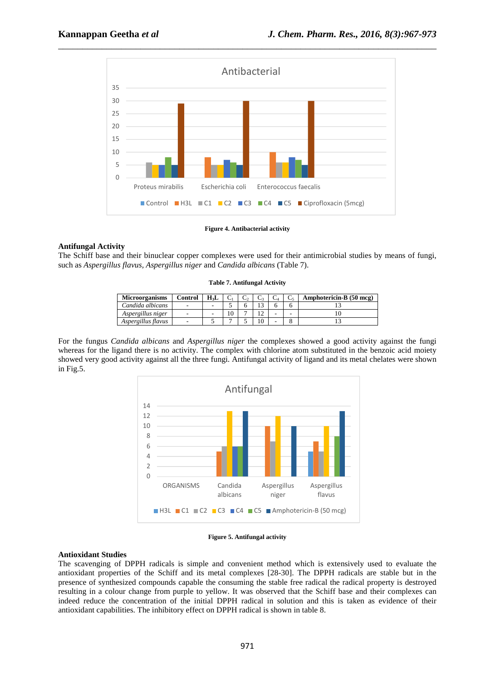

#### **Figure 4. Antibacterial activity**

## **Antifungal Activity**

The Schiff base and their binuclear copper complexes were used for their antimicrobial studies by means of fungi, such as *Aspergillus flavus, Aspergillus niger* and *Candida albicans* (Table 7).

#### **Table 7. Antifungal Activity**

| <b>Microorganisms</b> | <b>Control</b>           | H <sub>3</sub> L |  |   | Amphotericin-B (50 mcg) |
|-----------------------|--------------------------|------------------|--|---|-------------------------|
| Candida albicans      | $\overline{\phantom{a}}$ |                  |  |   |                         |
| Aspergillus niger     | $\overline{\phantom{a}}$ | ۰                |  | - |                         |
| Aspergillus flavus    | $\overline{\phantom{a}}$ |                  |  | - |                         |

For the fungus *Candida albicans* and *Aspergillus niger* the complexes showed a good activity against the fungi whereas for the ligand there is no activity. The complex with chlorine atom substituted in the benzoic acid moiety showed very good activity against all the three fungi. Antifungal activity of ligand and its metal chelates were shown in Fig.5.



**Figure 5. Antifungal activity** 

## **Antioxidant Studies**

The scavenging of DPPH radicals is simple and convenient method which is extensively used to evaluate the antioxidant properties of the Schiff and its metal complexes [28-30]. The DPPH radicals are stable but in the presence of synthesized compounds capable the consuming the stable free radical the radical property is destroyed resulting in a colour change from purple to yellow. It was observed that the Schiff base and their complexes can indeed reduce the concentration of the initial DPPH radical in solution and this is taken as evidence of their antioxidant capabilities. The inhibitory effect on DPPH radical is shown in table 8.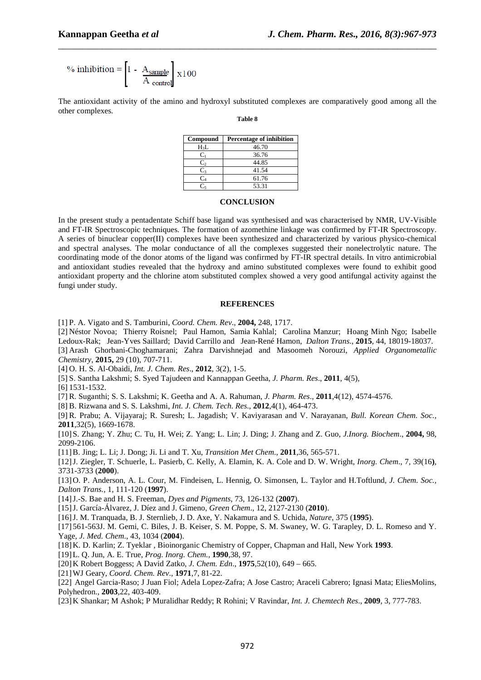$$
\% \text{ inhibition} = \left[1 - \frac{A_{\text{sample}}}{A_{\text{control}}}\right] \times 100
$$

The antioxidant activity of the amino and hydroxyl substituted complexes are comparatively good among all the other complexes.

\_\_\_\_\_\_\_\_\_\_\_\_\_\_\_\_\_\_\_\_\_\_\_\_\_\_\_\_\_\_\_\_\_\_\_\_\_\_\_\_\_\_\_\_\_\_\_\_\_\_\_\_\_\_\_\_\_\_\_\_\_\_\_\_\_\_\_\_\_\_\_\_\_\_\_\_\_\_

**Table 8**

| Compound   | <b>Percentage of inhibition</b> |
|------------|---------------------------------|
| $H_3L$     | 46.70                           |
| Cı         | 36.76                           |
| C,         | 44.85                           |
| $C_{3}$    | 41.54                           |
| $\rm{C_4}$ | 61.76                           |
|            | 53.31                           |

## **CONCLUSION**

In the present study a pentadentate Schiff base ligand was synthesised and was characterised by NMR, UV-Visible and FT-IR Spectroscopic techniques. The formation of azomethine linkage was confirmed by FT-IR Spectroscopy. A series of binuclear copper(II) complexes have been synthesized and characterized by various physico-chemical and spectral analyses. The molar conductance of all the complexes suggested their nonelectrolytic nature. The coordinating mode of the donor atoms of the ligand was confirmed by FT-IR spectral details. In vitro antimicrobial and antioxidant studies revealed that the hydroxy and amino substituted complexes were found to exhibit good antioxidant property and the chlorine atom substituted complex showed a very good antifungal activity against the fungi under study.

## **REFERENCES**

[1] P. A. Vigato and S. Tamburini, *Coord. Chem. Rev*., **2004,** 248, 1717.

[2] Néstor Novoa; Thierry Roisnel; Paul Hamon, Samia Kahlal; Carolina Manzur; Hoang Minh Ngo; Isabelle Ledoux-Rak; Jean-Yves Saillard; David Carrillo and Jean-René Hamon, *Dalton Trans*., **2015**, 44, 18019-18037. [3] Arash Ghorbani-Choghamarani; Zahra Darvishnejad and Masoomeh Norouzi, *Applied Organometallic Chemistry*, **2015,** 29 (10), 707-711.

[4] O. H. S. Al-Obaidi, *Int. J. Chem. Res*., **2012**, 3(2), 1-5.

[5] S. Santha Lakshmi; S. Syed Tajudeen and Kannappan Geetha*, J. Pharm. Res*., **2011**, 4(5),

[6] 1531-1532.

[7] R. Suganthi; S. S. Lakshmi; K. Geetha and A. A. Rahuman*, J. Pharm. Res*., **2011**,4(12), 4574-4576.

[8] B. Rizwana and S. S. Lakshmi, *Int. J. Chem. Tech. Res*., **2012**,4(1), 464-473.

[9] R. Prabu; A. Vijayaraj; R. Suresh; L. Jagadish; V. Kaviyarasan and V. Narayanan, *Bull. Korean Chem. Soc.,* **2011**,32(5), 1669-1678.

[10]S. Zhang; Y. Zhu; C. Tu, H. Wei; Z. Yang; L. Lin; J. Ding; J. Zhang and Z. Guo, *J.Inorg. Biochem*., **2004,** 98, 2099-2106.

[11]B. Jing; L. Li; J. Dong; Ji. Li and T. Xu, *Transition Met Chem*., **2011**,36, 565-571.

[12]J. Ziegler, T. Schuerle, L. Pasierb, C. Kelly, A. Elamin, K. A. Cole and D. W. Wright, *Inorg. Chem*., 7, 39(16**)**, 3731-3733 (**2000**).

[13]O. P. Anderson, A. L. Cour, M. Findeisen, L. Hennig, O. Simonsen, L. Taylor and H.Toftlund*, J. Chem. Soc., Dalton Trans.,* 1, 111-120 (**1997**).

[14]J.-S. Bae and H. S. Freeman, *Dyes and Pigments*, 73, 126-132 (**2007**).

[15]J. García-Álvarez, J. Díez and J. Gimeno, *Green Chem*., 12, 2127-2130 (**2010**).

[16]J. M. Tranquada, B. J. Sternlieb, J. D. Axe, Y. Nakamura and S. Uchida, *Nature*, 375 (**1995**).

[17] 561-563J. M. Gemi, C. Biles, J. B. Keiser, S. M. Poppe, S. M. Swaney, W. G. Tarapley, D. L. Romeso and Y. Yage, *J. Med. Chem*., 43, 1034 (**2004**).

[18]K. D. Karlin; Z. Tyeklar , Bioinorganic Chemistry of Copper, Chapman and Hall, New York **1993**.

[19]L. Q. Jun, A. E. True, *Prog. Inorg. Chem.,* **1990**,38, 97.

[20]K Robert Boggess; A David Zatko, *J. Chem. Edn*., **1975**,52(10), 649 – 665.

[21]WJ Geary, *Coord. Chem. Rev*., **1971**,7, 81-22.

[22] Angel Garcia-Raso; J Juan Fiol; Adela Lopez-Zafra; A Jose Castro; Araceli Cabrero; Ignasi Mata; EliesMolins, Polyhedron., **2003**,22, 403-409.

[23]K Shankar; M Ashok; P Muralidhar Reddy; R Rohini; V Ravindar, *Int. J. Chemtech Res*., **2009**, 3, 777-783.